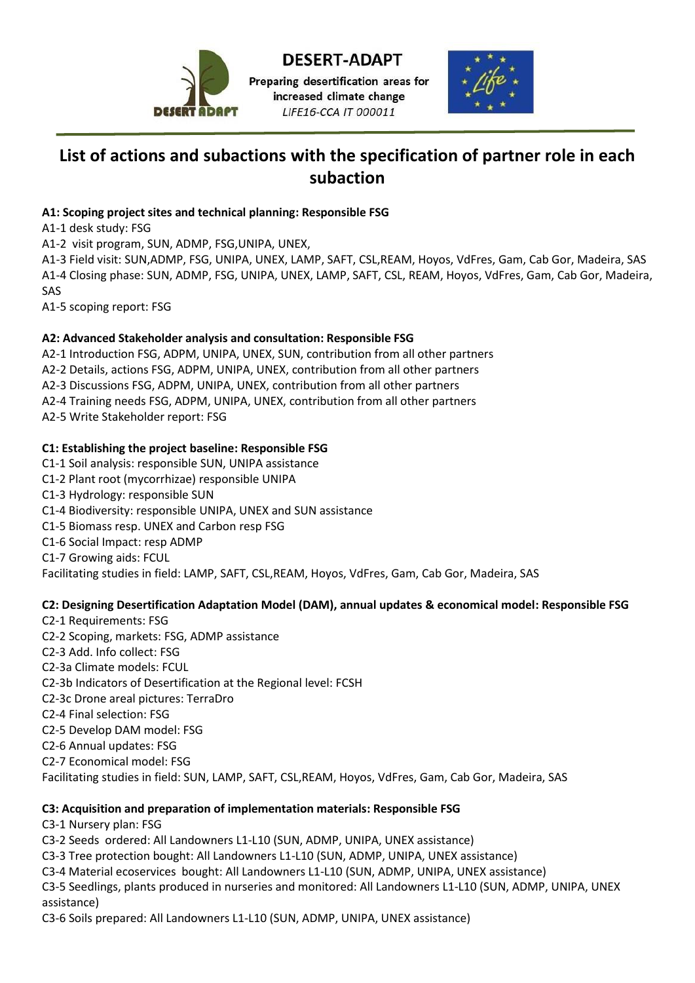

Preparing desertification areas for increased climate change LIFE16-CCA IT 000011



# **List of actions and subactions with the specification of partner role in each subaction**

# **A1: Scoping project sites and technical planning: Responsible FSG**

A1-1 desk study: FSG

A1-2 visit program, SUN, ADMP, FSG,UNIPA, UNEX,

A1-3 Field visit: SUN,ADMP, FSG, UNIPA, UNEX, LAMP, SAFT, CSL,REAM, Hoyos, VdFres, Gam, Cab Gor, Madeira, SAS A1-4 Closing phase: SUN, ADMP, FSG, UNIPA, UNEX, LAMP, SAFT, CSL, REAM, Hoyos, VdFres, Gam, Cab Gor, Madeira, SAS

A1-5 scoping report: FSG

# **A2: Advanced Stakeholder analysis and consultation: Responsible FSG**

A2-1 Introduction FSG, ADPM, UNIPA, UNEX, SUN, contribution from all other partners A2-2 Details, actions FSG, ADPM, UNIPA, UNEX, contribution from all other partners A2-3 Discussions FSG, ADPM, UNIPA, UNEX, contribution from all other partners A2-4 Training needs FSG, ADPM, UNIPA, UNEX, contribution from all other partners A2-5 Write Stakeholder report: FSG

# **C1: Establishing the project baseline: Responsible FSG**

C1-1 Soil analysis: responsible SUN, UNIPA assistance C1-2 Plant root (mycorrhizae) responsible UNIPA C1-3 Hydrology: responsible SUN C1-4 Biodiversity: responsible UNIPA, UNEX and SUN assistance C1-5 Biomass resp. UNEX and Carbon resp FSG C1-6 Social Impact: resp ADMP C1-7 Growing aids: FCUL Facilitating studies in field: LAMP, SAFT, CSL,REAM, Hoyos, VdFres, Gam, Cab Gor, Madeira, SAS

# **C2: Designing Desertification Adaptation Model (DAM), annual updates & economical model: Responsible FSG**

- C2-1 Requirements: FSG C2-2 Scoping, markets: FSG, ADMP assistance C2-3 Add. Info collect: FSG C2-3a Climate models: FCUL C2-3b Indicators of Desertification at the Regional level: FCSH C2-3c Drone areal pictures: TerraDro C2-4 Final selection: FSG C2-5 Develop DAM model: FSG C2-6 Annual updates: FSG
- C2-7 Economical model: FSG
- Facilitating studies in field: SUN, LAMP, SAFT, CSL,REAM, Hoyos, VdFres, Gam, Cab Gor, Madeira, SAS

## **C3: Acquisition and preparation of implementation materials: Responsible FSG**

C3-1 Nursery plan: FSG

C3-2 Seeds ordered: All Landowners L1-L10 (SUN, ADMP, UNIPA, UNEX assistance)

- C3-3 Tree protection bought: All Landowners L1-L10 (SUN, ADMP, UNIPA, UNEX assistance)
- C3-4 Material ecoservices bought: All Landowners L1-L10 (SUN, ADMP, UNIPA, UNEX assistance)

C3-5 Seedlings, plants produced in nurseries and monitored: All Landowners L1-L10 (SUN, ADMP, UNIPA, UNEX assistance)

C3-6 Soils prepared: All Landowners L1-L10 (SUN, ADMP, UNIPA, UNEX assistance)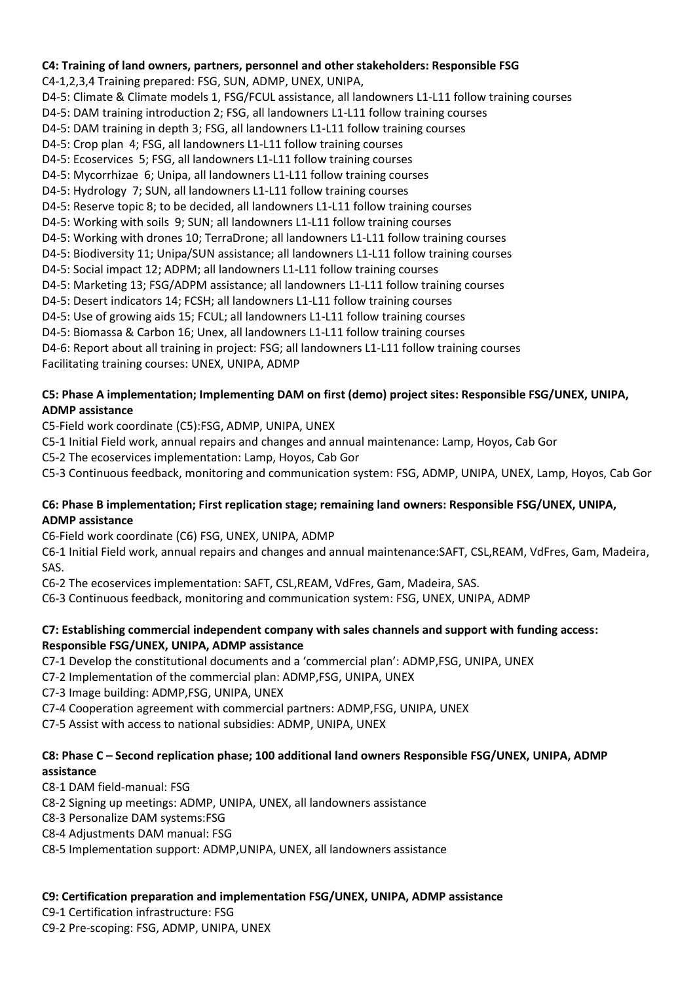## **C4: Training of land owners, partners, personnel and other stakeholders: Responsible FSG**

C4-1,2,3,4 Training prepared: FSG, SUN, ADMP, UNEX, UNIPA,

- D4-5: Climate & Climate models 1, FSG/FCUL assistance, all landowners L1-L11 follow training courses
- D4-5: DAM training introduction 2; FSG, all landowners L1-L11 follow training courses
- D4-5: DAM training in depth 3; FSG, all landowners L1-L11 follow training courses
- D4-5: Crop plan 4; FSG, all landowners L1-L11 follow training courses
- D4-5: Ecoservices 5; FSG, all landowners L1-L11 follow training courses
- D4-5: Mycorrhizae 6; Unipa, all landowners L1-L11 follow training courses
- D4-5: Hydrology 7; SUN, all landowners L1-L11 follow training courses
- D4-5: Reserve topic 8; to be decided, all landowners L1-L11 follow training courses
- D4-5: Working with soils 9; SUN; all landowners L1-L11 follow training courses
- D4-5: Working with drones 10; TerraDrone; all landowners L1-L11 follow training courses
- D4-5: Biodiversity 11; Unipa/SUN assistance; all landowners L1-L11 follow training courses
- D4-5: Social impact 12; ADPM; all landowners L1-L11 follow training courses
- D4-5: Marketing 13; FSG/ADPM assistance; all landowners L1-L11 follow training courses
- D4-5: Desert indicators 14; FCSH; all landowners L1-L11 follow training courses
- D4-5: Use of growing aids 15; FCUL; all landowners L1-L11 follow training courses
- D4-5: Biomassa & Carbon 16; Unex, all landowners L1-L11 follow training courses
- D4-6: Report about all training in project: FSG; all landowners L1-L11 follow training courses Facilitating training courses: UNEX, UNIPA, ADMP
- **C5: Phase A implementation; Implementing DAM on first (demo) project sites: Responsible FSG/UNEX, UNIPA, ADMP assistance**
- C5-Field work coordinate (C5):FSG, ADMP, UNIPA, UNEX
- C5-1 Initial Field work, annual repairs and changes and annual maintenance: Lamp, Hoyos, Cab Gor
- C5-2 The ecoservices implementation: Lamp, Hoyos, Cab Gor
- C5-3 Continuous feedback, monitoring and communication system: FSG, ADMP, UNIPA, UNEX, Lamp, Hoyos, Cab Gor

# **C6: Phase B implementation; First replication stage; remaining land owners: Responsible FSG/UNEX, UNIPA, ADMP assistance**

- C6-Field work coordinate (C6) FSG, UNEX, UNIPA, ADMP
- C6-1 Initial Field work, annual repairs and changes and annual maintenance:SAFT, CSL,REAM, VdFres, Gam, Madeira, SAS.
- C6-2 The ecoservices implementation: SAFT, CSL,REAM, VdFres, Gam, Madeira, SAS.
- C6-3 Continuous feedback, monitoring and communication system: FSG, UNEX, UNIPA, ADMP

## **C7: Establishing commercial independent company with sales channels and support with funding access: Responsible FSG/UNEX, UNIPA, ADMP assistance**

- C7-1 Develop the constitutional documents and a 'commercial plan': ADMP,FSG, UNIPA, UNEX
- C7-2 Implementation of the commercial plan: ADMP,FSG, UNIPA, UNEX
- C7-3 Image building: ADMP,FSG, UNIPA, UNEX
- C7-4 Cooperation agreement with commercial partners: ADMP,FSG, UNIPA, UNEX
- C7-5 Assist with access to national subsidies: ADMP, UNIPA, UNEX

# **C8: Phase C – Second replication phase; 100 additional land owners Responsible FSG/UNEX, UNIPA, ADMP assistance**

- C8-1 DAM field-manual: FSG
- C8-2 Signing up meetings: ADMP, UNIPA, UNEX, all landowners assistance
- C8-3 Personalize DAM systems:FSG
- C8-4 Adjustments DAM manual: FSG
- C8-5 Implementation support: ADMP,UNIPA, UNEX, all landowners assistance

# **C9: Certification preparation and implementation FSG/UNEX, UNIPA, ADMP assistance**

C9-1 Certification infrastructure: FSG

C9-2 Pre-scoping: FSG, ADMP, UNIPA, UNEX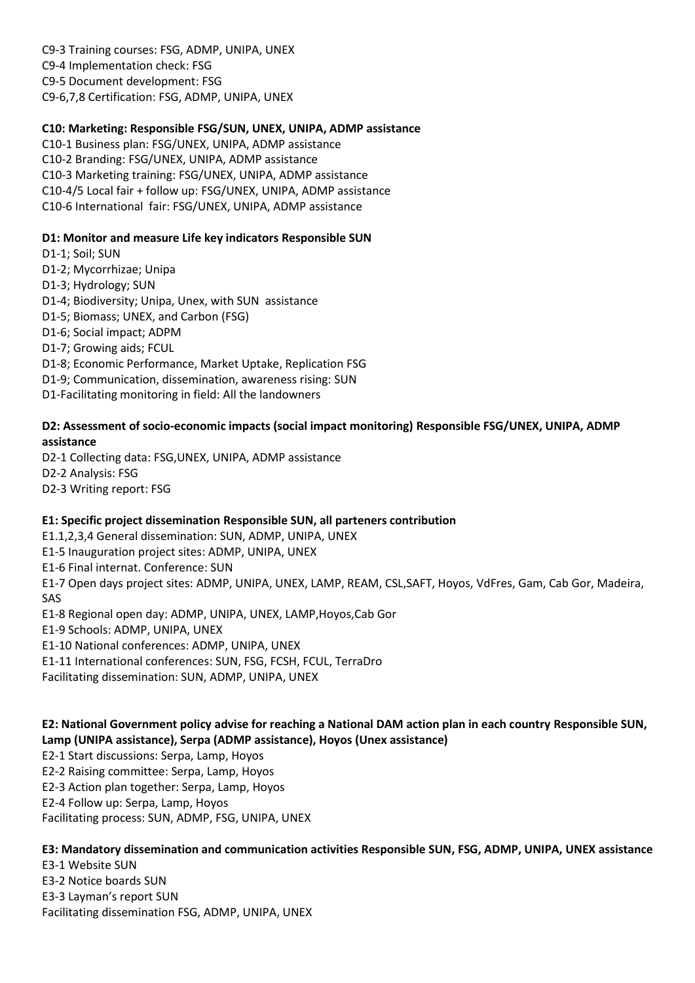C9-3 Training courses: FSG, ADMP, UNIPA, UNEX C9-4 Implementation check: FSG C9-5 Document development: FSG C9-6,7,8 Certification: FSG, ADMP, UNIPA, UNEX

## **C10: Marketing: Responsible FSG/SUN, UNEX, UNIPA, ADMP assistance**

C10-1 Business plan: FSG/UNEX, UNIPA, ADMP assistance C10-2 Branding: FSG/UNEX, UNIPA, ADMP assistance C10-3 Marketing training: FSG/UNEX, UNIPA, ADMP assistance C10-4/5 Local fair + follow up: FSG/UNEX, UNIPA, ADMP assistance C10-6 International fair: FSG/UNEX, UNIPA, ADMP assistance

#### **D1: Monitor and measure Life key indicators Responsible SUN**

D1-1; Soil; SUN

- D1-2; Mycorrhizae; Unipa
- D1-3; Hydrology; SUN
- D1-4; Biodiversity; Unipa, Unex, with SUN assistance
- D1-5; Biomass; UNEX, and Carbon (FSG)
- D1-6; Social impact; ADPM
- D1-7; Growing aids; FCUL
- D1-8; Economic Performance, Market Uptake, Replication FSG
- D1-9; Communication, dissemination, awareness rising: SUN
- D1-Facilitating monitoring in field: All the landowners

#### **D2: Assessment of socio-economic impacts (social impact monitoring) Responsible FSG/UNEX, UNIPA, ADMP assistance**

D2-1 Collecting data: FSG,UNEX, UNIPA, ADMP assistance D2-2 Analysis: FSG D2-3 Writing report: FSG

## **E1: Specific project dissemination Responsible SUN, all parteners contribution**

E1.1,2,3,4 General dissemination: SUN, ADMP, UNIPA, UNEX

E1-5 Inauguration project sites: ADMP, UNIPA, UNEX

E1-6 Final internat. Conference: SUN

E1-7 Open days project sites: ADMP, UNIPA, UNEX, LAMP, REAM, CSL,SAFT, Hoyos, VdFres, Gam, Cab Gor, Madeira, SAS

E1-8 Regional open day: ADMP, UNIPA, UNEX, LAMP,Hoyos,Cab Gor

E1-9 Schools: ADMP, UNIPA, UNEX

E1-10 National conferences: ADMP, UNIPA, UNEX

E1-11 International conferences: SUN, FSG, FCSH, FCUL, TerraDro

Facilitating dissemination: SUN, ADMP, UNIPA, UNEX

**E2: National Government policy advise for reaching a National DAM action plan in each country Responsible SUN, Lamp (UNIPA assistance), Serpa (ADMP assistance), Hoyos (Unex assistance)**

E2-1 Start discussions: Serpa, Lamp, Hoyos

E2-2 Raising committee: Serpa, Lamp, Hoyos

E2-3 Action plan together: Serpa, Lamp, Hoyos

E2-4 Follow up: Serpa, Lamp, Hoyos

Facilitating process: SUN, ADMP, FSG, UNIPA, UNEX

**E3: Mandatory dissemination and communication activities Responsible SUN, FSG, ADMP, UNIPA, UNEX assistance**

E3-1 Website SUN E3-2 Notice boards SUN E3-3 Layman's report SUN Facilitating dissemination FSG, ADMP, UNIPA, UNEX